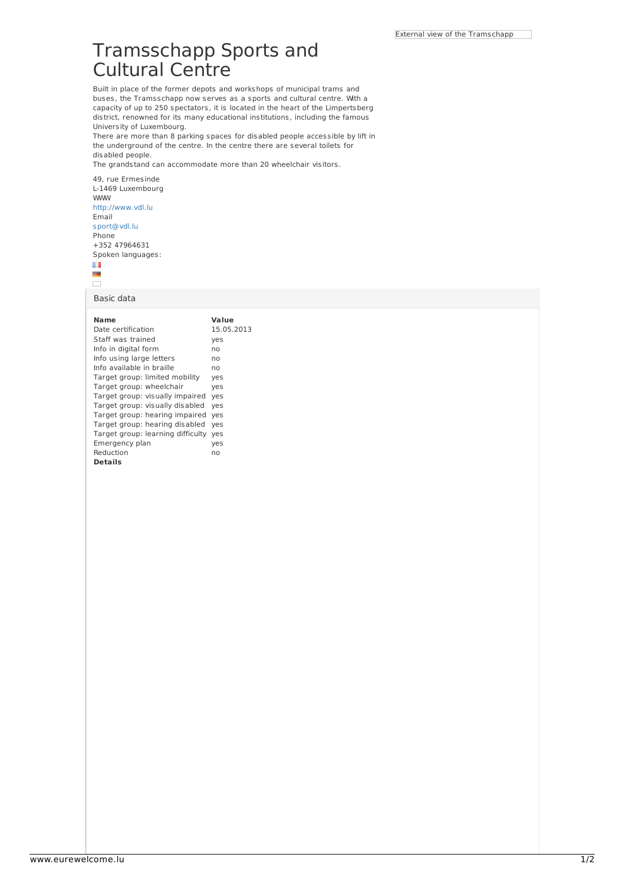## Tramsschapp Sports and Cultural Centre

Built in place of the former depots and workshops of municipal trams and buses, the Tramsschapp now serves as a sports and cultural centre. With a capacity of up to 250 spectators, it is located in the heart of the Limpertsberg district, renowned for its many educational institutions, including the famous University of Luxembourg.

There are more than 8 parking spaces for disabled people accessible by lift in the underground of the centre. In the centre there are several toilets for disabled people.

The grandstand can accommodate more than 20 wheelchair visitors.

49, rue Ermesinde L-1469 Luxembourg WWW <http://www.vdl.lu> Email [sport@vdl.lu](mailto:sport@vdl.lu) **Phone** +352 47964631 Spoken languages: Ш



Basic data

| Name                              | Value      |
|-----------------------------------|------------|
| Date certification                | 15.05.2013 |
| Staff was trained                 | yes        |
| Info in digital form              | no         |
| Info using large letters          | no         |
| Info available in braille         | no         |
| Target group: limited mobility    | yes        |
| Target group: wheelchair          | yes        |
| Target group: visually impaired   | yes        |
| Target group: visually disabled   | yes        |
| Target group: hearing impaired    | yes        |
| Target group: hearing disabled    | yes        |
| Target group: learning difficulty | yes        |
| Emergency plan                    | yes        |
| Reduction                         | no         |
| <b>Details</b>                    |            |